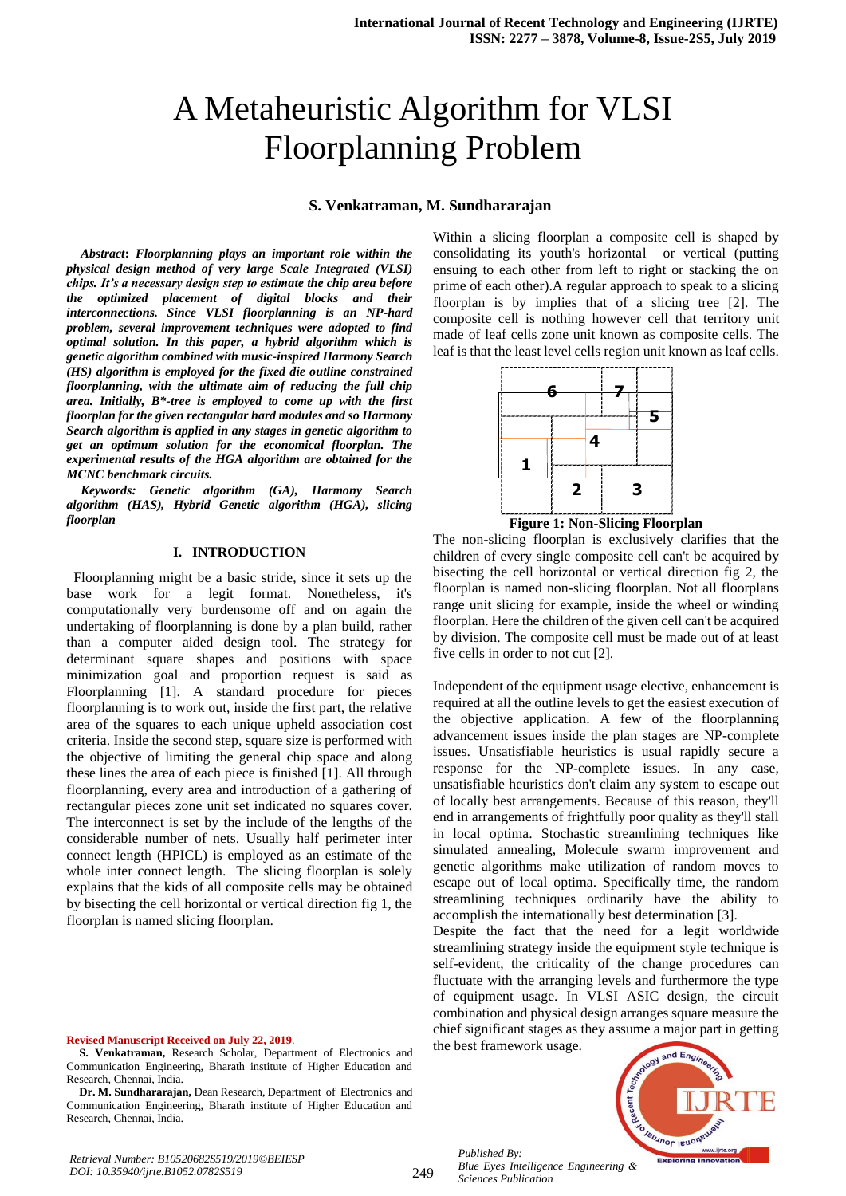# A Metaheuristic Algorithm for VLSI Floorplanning Problem

### **S. Venkatraman, M. Sundhararajan**

*Abstract***:** *Floorplanning plays an important role within the physical design method of very large Scale Integrated (VLSI) chips. It's a necessary design step to estimate the chip area before the optimized placement of digital blocks and their interconnections. Since VLSI floorplanning is an NP-hard problem, several improvement techniques were adopted to find optimal solution. In this paper, a hybrid algorithm which is genetic algorithm combined with music-inspired Harmony Search (HS) algorithm is employed for the fixed die outline constrained floorplanning, with the ultimate aim of reducing the full chip area. Initially, B\*-tree is employed to come up with the first floorplan for the given rectangular hard modules and so Harmony Search algorithm is applied in any stages in genetic algorithm to get an optimum solution for the economical floorplan. The experimental results of the HGA algorithm are obtained for the MCNC benchmark circuits.*

*Keywords: Genetic algorithm (GA), Harmony Search algorithm (HAS), Hybrid Genetic algorithm (HGA), slicing floorplan*

#### **I. INTRODUCTION**

 Floorplanning might be a basic stride, since it sets up the base work for a legit format. Nonetheless, it's computationally very burdensome off and on again the undertaking of floorplanning is done by a plan build, rather than a computer aided design tool. The strategy for determinant square shapes and positions with space minimization goal and proportion request is said as Floorplanning [1]. A standard procedure for pieces floorplanning is to work out, inside the first part, the relative area of the squares to each unique upheld association cost criteria. Inside the second step, square size is performed with the objective of limiting the general chip space and along these lines the area of each piece is finished [1]. All through floorplanning, every area and introduction of a gathering of rectangular pieces zone unit set indicated no squares cover. The interconnect is set by the include of the lengths of the considerable number of nets. Usually half perimeter inter connect length (HPICL) is employed as an estimate of the whole inter connect length. The slicing floorplan is solely explains that the kids of all composite cells may be obtained by bisecting the cell horizontal or vertical direction fig 1, the floorplan is named slicing floorplan.

#### **Revised Manuscript Received on July 22, 2019**.

Within a slicing floorplan a composite cell is shaped by consolidating its youth's horizontal or vertical (putting ensuing to each other from left to right or stacking the on prime of each other).A regular approach to speak to a slicing floorplan is by implies that of a slicing tree [2]. The composite cell is nothing however cell that territory unit made of leaf cells zone unit known as composite cells. The leaf is that the least level cells region unit known as leaf cells.





The non-slicing floorplan is exclusively clarifies that the children of every single composite cell can't be acquired by bisecting the cell horizontal or vertical direction fig 2, the floorplan is named non-slicing floorplan. Not all floorplans range unit slicing for example, inside the wheel or winding floorplan. Here the children of the given cell can't be acquired by division. The composite cell must be made out of at least five cells in order to not cut [2].

Independent of the equipment usage elective, enhancement is required at all the outline levels to get the easiest execution of the objective application. A few of the floorplanning advancement issues inside the plan stages are NP-complete issues. Unsatisfiable heuristics is usual rapidly secure a response for the NP-complete issues. In any case, unsatisfiable heuristics don't claim any system to escape out of locally best arrangements. Because of this reason, they'll end in arrangements of frightfully poor quality as they'll stall in local optima. Stochastic streamlining techniques like simulated annealing, Molecule swarm improvement and genetic algorithms make utilization of random moves to escape out of local optima. Specifically time, the random streamlining techniques ordinarily have the ability to accomplish the internationally best determination [3].

Despite the fact that the need for a legit worldwide streamlining strategy inside the equipment style technique is self-evident, the criticality of the change procedures can fluctuate with the arranging levels and furthermore the type of equipment usage. In VLSI ASIC design, the circuit combination and physical design arranges square measure the chief significant stages as they assume a major part in getting

the best framework usage.

*Published By:*

*Sciences Publication* 



*Retrieval Number: B10520682S519/2019©BEIESP DOI: 10.35940/ijrte.B1052.0782S519*

**S. Venkatraman,** Research Scholar, Department of Electronics and Communication Engineering, Bharath institute of Higher Education and Research, Chennai, India.

**Dr. M. Sundhararajan,** Dean Research, Department of Electronics and Communication Engineering, Bharath institute of Higher Education and Research, Chennai, India.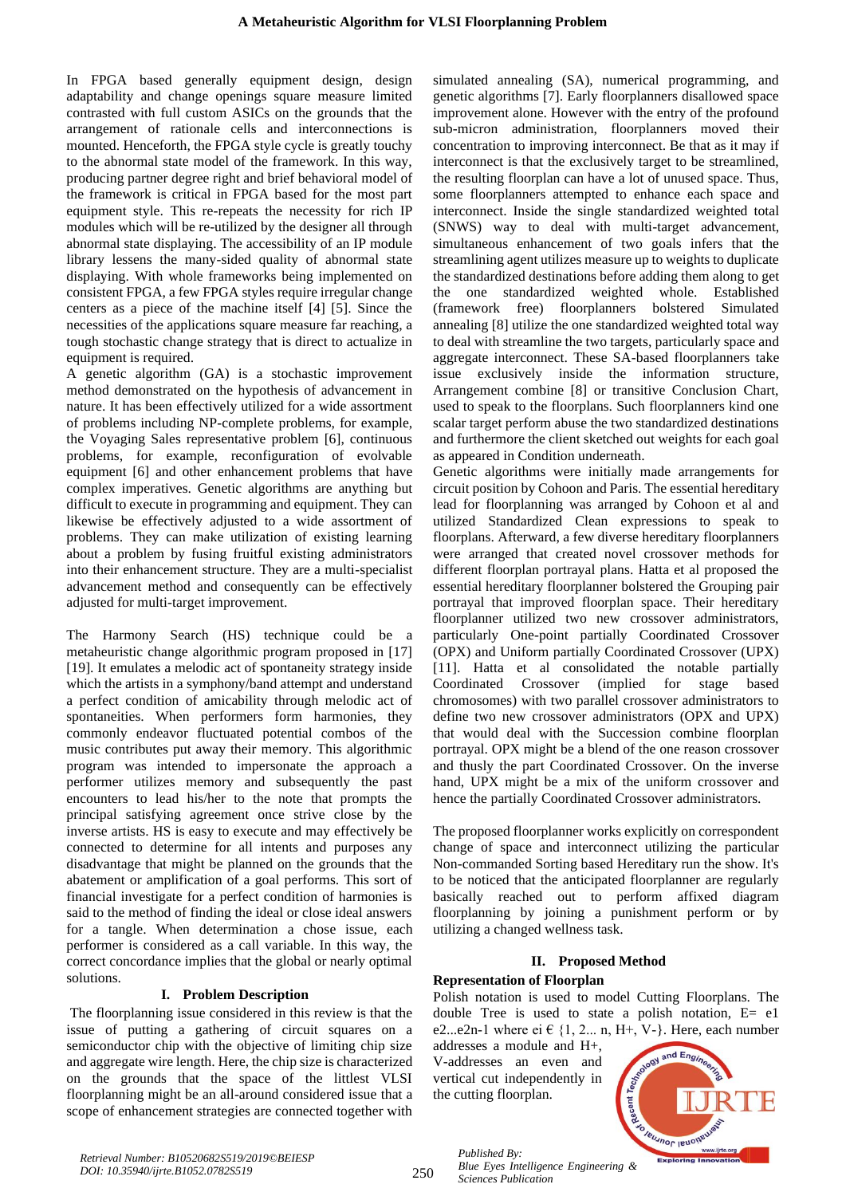In FPGA based generally equipment design, design adaptability and change openings square measure limited contrasted with full custom ASICs on the grounds that the arrangement of rationale cells and interconnections is mounted. Henceforth, the FPGA style cycle is greatly touchy to the abnormal state model of the framework. In this way, producing partner degree right and brief behavioral model of the framework is critical in FPGA based for the most part equipment style. This re-repeats the necessity for rich IP modules which will be re-utilized by the designer all through abnormal state displaying. The accessibility of an IP module library lessens the many-sided quality of abnormal state displaying. With whole frameworks being implemented on consistent FPGA, a few FPGA styles require irregular change centers as a piece of the machine itself [4] [5]. Since the necessities of the applications square measure far reaching, a tough stochastic change strategy that is direct to actualize in equipment is required.

A genetic algorithm (GA) is a stochastic improvement method demonstrated on the hypothesis of advancement in nature. It has been effectively utilized for a wide assortment of problems including NP-complete problems, for example, the Voyaging Sales representative problem [6], continuous problems, for example, reconfiguration of evolvable equipment [6] and other enhancement problems that have complex imperatives. Genetic algorithms are anything but difficult to execute in programming and equipment. They can likewise be effectively adjusted to a wide assortment of problems. They can make utilization of existing learning about a problem by fusing fruitful existing administrators into their enhancement structure. They are a multi-specialist advancement method and consequently can be effectively adjusted for multi-target improvement.

The Harmony Search (HS) technique could be a metaheuristic change algorithmic program proposed in [17] [19]. It emulates a melodic act of spontaneity strategy inside which the artists in a symphony/band attempt and understand a perfect condition of amicability through melodic act of spontaneities. When performers form harmonies, they commonly endeavor fluctuated potential combos of the music contributes put away their memory. This algorithmic program was intended to impersonate the approach a performer utilizes memory and subsequently the past encounters to lead his/her to the note that prompts the principal satisfying agreement once strive close by the inverse artists. HS is easy to execute and may effectively be connected to determine for all intents and purposes any disadvantage that might be planned on the grounds that the abatement or amplification of a goal performs. This sort of financial investigate for a perfect condition of harmonies is said to the method of finding the ideal or close ideal answers for a tangle. When determination a chose issue, each performer is considered as a call variable. In this way, the correct concordance implies that the global or nearly optimal solutions.

## **I. Problem Description**

The floorplanning issue considered in this review is that the issue of putting a gathering of circuit squares on a semiconductor chip with the objective of limiting chip size and aggregate wire length. Here, the chip size is characterized on the grounds that the space of the littlest VLSI floorplanning might be an all-around considered issue that a scope of enhancement strategies are connected together with

simulated annealing (SA), numerical programming, and genetic algorithms [7]. Early floorplanners disallowed space improvement alone. However with the entry of the profound sub-micron administration, floorplanners moved their concentration to improving interconnect. Be that as it may if interconnect is that the exclusively target to be streamlined, the resulting floorplan can have a lot of unused space. Thus, some floorplanners attempted to enhance each space and interconnect. Inside the single standardized weighted total (SNWS) way to deal with multi-target advancement, simultaneous enhancement of two goals infers that the streamlining agent utilizes measure up to weights to duplicate the standardized destinations before adding them along to get the one standardized weighted whole. Established (framework free) floorplanners bolstered Simulated annealing [8] utilize the one standardized weighted total way to deal with streamline the two targets, particularly space and aggregate interconnect. These SA-based floorplanners take issue exclusively inside the information structure, Arrangement combine [8] or transitive Conclusion Chart, used to speak to the floorplans. Such floorplanners kind one scalar target perform abuse the two standardized destinations and furthermore the client sketched out weights for each goal as appeared in Condition underneath.

Genetic algorithms were initially made arrangements for circuit position by Cohoon and Paris. The essential hereditary lead for floorplanning was arranged by Cohoon et al and utilized Standardized Clean expressions to speak to floorplans. Afterward, a few diverse hereditary floorplanners were arranged that created novel crossover methods for different floorplan portrayal plans. Hatta et al proposed the essential hereditary floorplanner bolstered the Grouping pair portrayal that improved floorplan space. Their hereditary floorplanner utilized two new crossover administrators, particularly One-point partially Coordinated Crossover (OPX) and Uniform partially Coordinated Crossover (UPX) [11]. Hatta et al consolidated the notable partially Coordinated Crossover (implied for stage based chromosomes) with two parallel crossover administrators to define two new crossover administrators (OPX and UPX) that would deal with the Succession combine floorplan portrayal. OPX might be a blend of the one reason crossover and thusly the part Coordinated Crossover. On the inverse hand, UPX might be a mix of the uniform crossover and hence the partially Coordinated Crossover administrators.

The proposed floorplanner works explicitly on correspondent change of space and interconnect utilizing the particular Non-commanded Sorting based Hereditary run the show. It's to be noticed that the anticipated floorplanner are regularly basically reached out to perform affixed diagram floorplanning by joining a punishment perform or by utilizing a changed wellness task.

## **II. Proposed Method**

## **Representation of Floorplan**

Polish notation is used to model Cutting Floorplans. The double Tree is used to state a polish notation, E= e1 e2...e2n-1 where ei  $\in \{1, 2...$  n, H+, V- $\}$ . Here, each number

addresses a module and H+, V-addresses an even and vertical cut independently in the cutting floorplan.



250

*Published By: Blue Eyes Intelligence Engineering & Sciences Publication*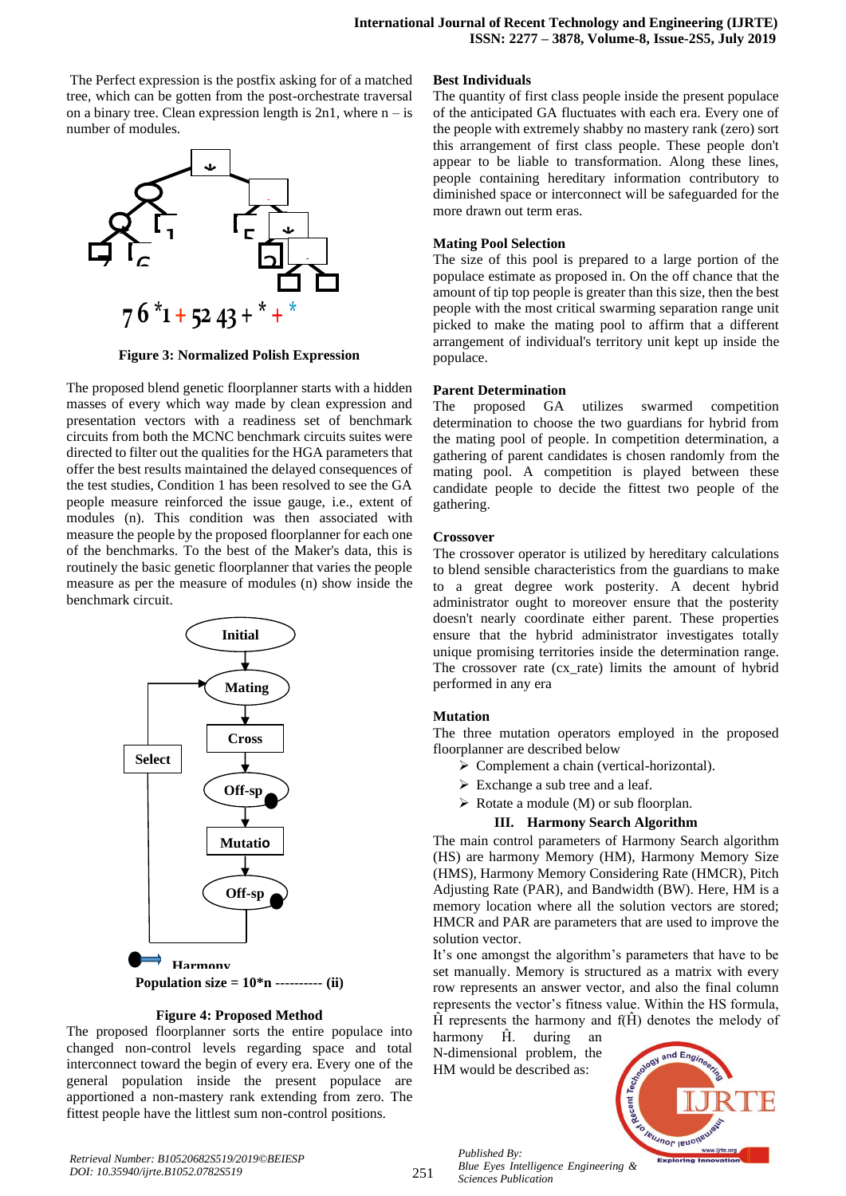The Perfect expression is the postfix asking for of a matched tree, which can be gotten from the post-orchestrate traversal on a binary tree. Clean expression length is  $2n1$ , where  $n - is$ number of modules.



**Figure 3: Normalized Polish Expression**

The proposed blend genetic floorplanner starts with a hidden masses of every which way made by clean expression and presentation vectors with a readiness set of benchmark circuits from both the MCNC benchmark circuits suites were directed to filter out the qualities for the HGA parameters that offer the best results maintained the delayed consequences of the test studies, Condition 1 has been resolved to see the GA people measure reinforced the issue gauge, i.e., extent of modules (n). This condition was then associated with measure the people by the proposed floorplanner for each one of the benchmarks. To the best of the Maker's data, this is routinely the basic genetic floorplanner that varies the people measure as per the measure of modules (n) show inside the benchmark circuit.



## **Figure 4: Proposed Method**

The proposed floorplanner sorts the entire populace into changed non-control levels regarding space and total interconnect toward the begin of every era. Every one of the general population inside the present populace are apportioned a non-mastery rank extending from zero. The fittest people have the littlest sum non-control positions.

#### **Best Individuals**

The quantity of first class people inside the present populace of the anticipated GA fluctuates with each era. Every one of the people with extremely shabby no mastery rank (zero) sort this arrangement of first class people. These people don't appear to be liable to transformation. Along these lines, people containing hereditary information contributory to diminished space or interconnect will be safeguarded for the more drawn out term eras.

## **Mating Pool Selection**

The size of this pool is prepared to a large portion of the populace estimate as proposed in. On the off chance that the amount of tip top people is greater than this size, then the best people with the most critical swarming separation range unit picked to make the mating pool to affirm that a different arrangement of individual's territory unit kept up inside the populace.

#### **Parent Determination**

The proposed GA utilizes swarmed competition determination to choose the two guardians for hybrid from the mating pool of people. In competition determination, a gathering of parent candidates is chosen randomly from the mating pool. A competition is played between these candidate people to decide the fittest two people of the gathering.

#### **Crossover**

The crossover operator is utilized by hereditary calculations to blend sensible characteristics from the guardians to make to a great degree work posterity. A decent hybrid administrator ought to moreover ensure that the posterity doesn't nearly coordinate either parent. These properties ensure that the hybrid administrator investigates totally unique promising territories inside the determination range. The crossover rate (cx\_rate) limits the amount of hybrid performed in any era

## **Mutation**

The three mutation operators employed in the proposed floorplanner are described below

- ➢ Complement a chain (vertical-horizontal).
- $\triangleright$  Exchange a sub tree and a leaf.
- $\triangleright$  Rotate a module (M) or sub floorplan.

## **III. Harmony Search Algorithm**

The main control parameters of Harmony Search algorithm (HS) are harmony Memory (HM), Harmony Memory Size (HMS), Harmony Memory Considering Rate (HMCR), Pitch Adjusting Rate (PAR), and Bandwidth (BW). Here, HM is a memory location where all the solution vectors are stored; HMCR and PAR are parameters that are used to improve the solution vector.

It's one amongst the algorithm's parameters that have to be set manually. Memory is structured as a matrix with every row represents an answer vector, and also the final column represents the vector's fitness value. Within the HS formula,  $\hat{H}$  represents the harmony and  $f(\hat{H})$  denotes the melody of

harmony Ĥ. during an N-dimensional problem, the HM would be described as:

*Published By:*

*Sciences Publication* 

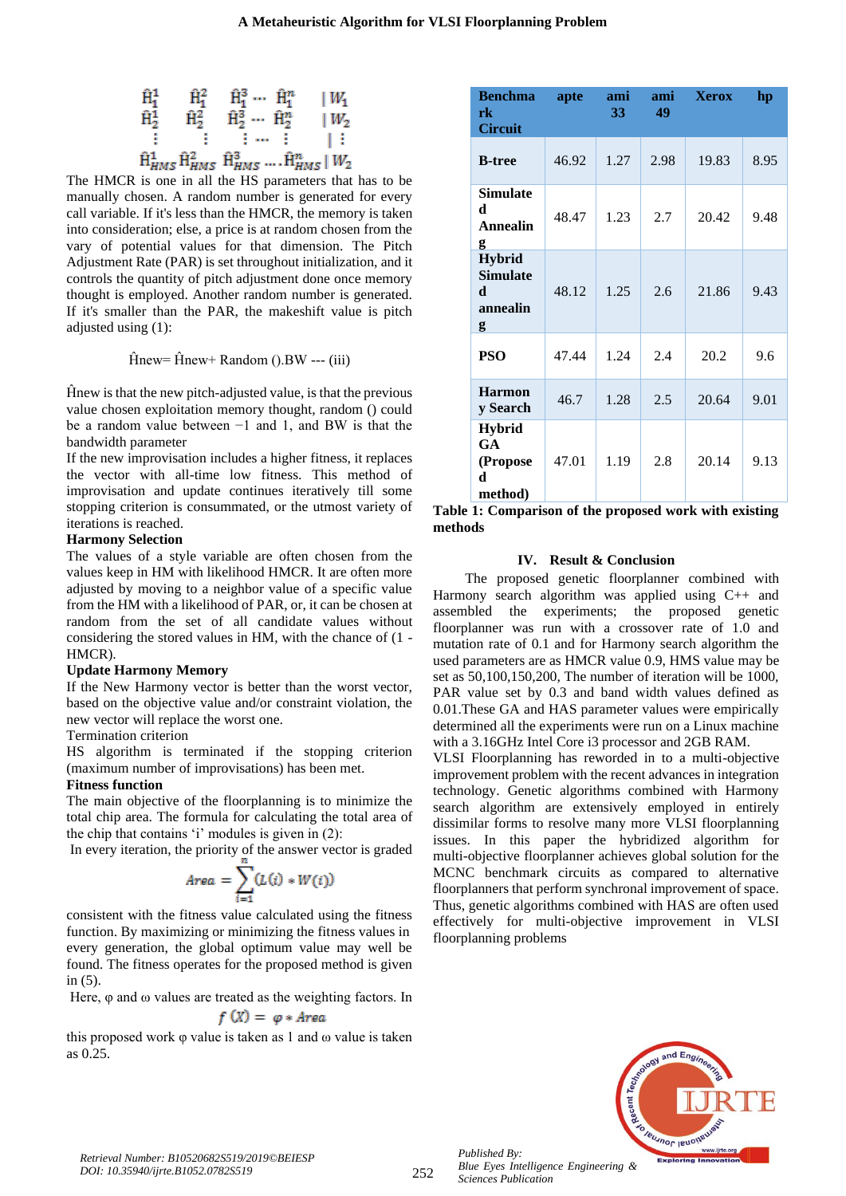$$
\hat{H}_{1}^{1} \n\begin{array}{ccc}\n\hat{H}_{1}^{2} & \hat{H}_{1}^{3} \cdots & \hat{H}_{1}^{n} & |W_{1} \\
\hat{H}_{2}^{1} & \hat{H}_{2}^{2} & \hat{H}_{2}^{3} \cdots & \hat{H}_{2}^{n} & |W_{2} \\
\vdots & \vdots & \vdots & \ddots & \vdots \\
\hat{H}_{HMS}^{1} & \hat{H}_{HMS}^{2} & \hat{H}_{HMS}^{3} \cdots & \hat{H}_{HMS}^{n} & |W_{2}\n\end{array}
$$

The HMCR is one in all the HS parameters that has to be manually chosen. A random number is generated for every call variable. If it's less than the HMCR, the memory is taken into consideration; else, a price is at random chosen from the vary of potential values for that dimension. The Pitch Adjustment Rate (PAR) is set throughout initialization, and it controls the quantity of pitch adjustment done once memory thought is employed. Another random number is generated. If it's smaller than the PAR, the makeshift value is pitch adjusted using (1):

$$
\hat{H}new = \hat{H}new + Random ().BW -- (iii)
$$

Ĥnew is that the new pitch-adjusted value, is that the previous value chosen exploitation memory thought, random () could be a random value between −1 and 1, and BW is that the bandwidth parameter

If the new improvisation includes a higher fitness, it replaces the vector with all-time low fitness. This method of improvisation and update continues iteratively till some stopping criterion is consummated, or the utmost variety of iterations is reached.

#### **Harmony Selection**

The values of a style variable are often chosen from the values keep in HM with likelihood HMCR. It are often more adjusted by moving to a neighbor value of a specific value from the HM with a likelihood of PAR, or, it can be chosen at random from the set of all candidate values without considering the stored values in HM, with the chance of (1 - HMCR).

#### **Update Harmony Memory**

If the New Harmony vector is better than the worst vector, based on the objective value and/or constraint violation, the new vector will replace the worst one.

## Termination criterion

HS algorithm is terminated if the stopping criterion (maximum number of improvisations) has been met.

#### **Fitness function**

The main objective of the floorplanning is to minimize the total chip area. The formula for calculating the total area of the chip that contains 'i' modules is given in (2):

In every iteration, the priority of the answer vector is graded

$$
Area = \sum_{i=1}^{n} (L(i) * W(i))
$$

consistent with the fitness value calculated using the fitness function. By maximizing or minimizing the fitness values in every generation, the global optimum value may well be found. The fitness operates for the proposed method is given in (5).

Here, φ and ω values are treated as the weighting factors. In

$$
f(X) = \varphi * Area
$$

this proposed work φ value is taken as 1 and ω value is taken as 0.25.

| <b>Benchma</b><br>rk<br><b>Circuit</b>                  | apte  | ami<br>33 | ami<br>49 | <b>Xerox</b> | hp   |
|---------------------------------------------------------|-------|-----------|-----------|--------------|------|
| <b>B-tree</b>                                           | 46.92 | 1.27      | 2.98      | 19.83        | 8.95 |
| <b>Simulate</b><br>d<br>Annealin<br>g                   | 48.47 | 1.23      | 2.7       | 20.42        | 9.48 |
| <b>Hybrid</b><br><b>Simulate</b><br>d.<br>annealin<br>g | 48.12 | 1.25      | 2.6       | 21.86        | 9.43 |
| <b>PSO</b>                                              | 47.44 | 1.24      | 2.4       | 20.2         | 9.6  |
| <b>Harmon</b><br>y Search                               | 46.7  | 1.28      | 2.5       | 20.64        | 9.01 |
| <b>Hybrid</b><br><b>GA</b><br>(Propose<br>d.<br>method) | 47.01 | 1.19      | 2.8       | 20.14        | 9.13 |

**Table 1: Comparison of the proposed work with existing methods**

## **IV. Result & Conclusion**

The proposed genetic floorplanner combined with Harmony search algorithm was applied using C++ and assembled the experiments; the proposed genetic floorplanner was run with a crossover rate of 1.0 and mutation rate of 0.1 and for Harmony search algorithm the used parameters are as HMCR value 0.9, HMS value may be set as 50,100,150,200, The number of iteration will be 1000, PAR value set by 0.3 and band width values defined as 0.01.These GA and HAS parameter values were empirically determined all the experiments were run on a Linux machine with a 3.16GHz Intel Core i3 processor and 2GB RAM.

VLSI Floorplanning has reworded in to a multi-objective improvement problem with the recent advances in integration technology. Genetic algorithms combined with Harmony search algorithm are extensively employed in entirely dissimilar forms to resolve many more VLSI floorplanning issues. In this paper the hybridized algorithm for multi-objective floorplanner achieves global solution for the MCNC benchmark circuits as compared to alternative floorplanners that perform synchronal improvement of space. Thus, genetic algorithms combined with HAS are often used effectively for multi-objective improvement in VLSI floorplanning problems



*Published By: Blue Eyes Intelligence Engineering & Sciences Publication*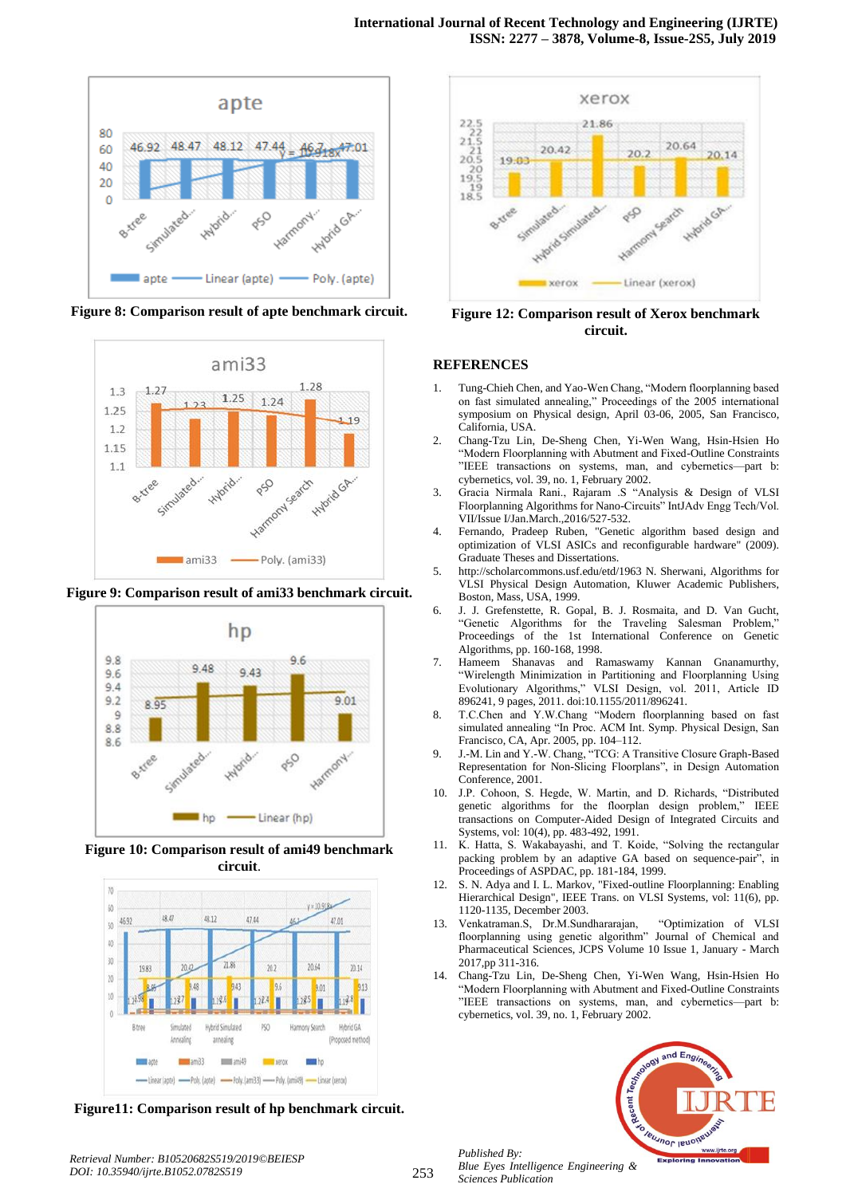

**Figure 8: Comparison result of apte benchmark circuit.**



**Figure 9: Comparison result of ami33 benchmark circuit.**



**Figure 10: Comparison result of ami49 benchmark circuit**.



**Figure11: Comparison result of hp benchmark circuit.**



**Figure 12: Comparison result of Xerox benchmark circuit.**

## **REFERENCES**

- 1. Tung-Chieh Chen, and Yao-Wen Chang, "Modern floorplanning based on fast simulated annealing," Proceedings of the 2005 international symposium on Physical design, April 03-06, 2005, San Francisco, California, USA.
- 2. Chang-Tzu Lin, De-Sheng Chen, Yi-Wen Wang, Hsin-Hsien Ho "Modern Floorplanning with Abutment and Fixed-Outline Constraints "IEEE transactions on systems, man, and cybernetics—part b: cybernetics, vol. 39, no. 1, February 2002.
- 3. Gracia Nirmala Rani., Rajaram .S "Analysis & Design of VLSI Floorplanning Algorithms for Nano-Circuits" IntJAdv Engg Tech/Vol. VII/Issue I/Jan.March.,2016/527-532.
- 4. Fernando, Pradeep Ruben, "Genetic algorithm based design and optimization of VLSI ASICs and reconfigurable hardware" (2009). Graduate Theses and Dissertations.
- 5. http://scholarcommons.usf.edu/etd/1963 N. Sherwani, Algorithms for VLSI Physical Design Automation, Kluwer Academic Publishers, Boston, Mass, USA, 1999.
- 6. J. J. Grefenstette, R. Gopal, B. J. Rosmaita, and D. Van Gucht, "Genetic Algorithms for the Traveling Salesman Problem," Proceedings of the 1st International Conference on Genetic Algorithms, pp. 160-168, 1998.
- 7. Hameem Shanavas and Ramaswamy Kannan Gnanamurthy, "Wirelength Minimization in Partitioning and Floorplanning Using Evolutionary Algorithms," VLSI Design, vol. 2011, Article ID 896241, 9 pages, 2011. doi:10.1155/2011/896241.
- 8. T.C.Chen and Y.W.Chang "Modern floorplanning based on fast simulated annealing "In Proc. ACM Int. Symp. Physical Design, San Francisco, CA, Apr. 2005, pp. 104–112.
- 9. J.-M. Lin and Y.-W. Chang, "TCG: A Transitive Closure Graph-Based Representation for Non-Slicing Floorplans", in Design Automation Conference, 2001.
- 10. J.P. Cohoon, S. Hegde, W. Martin, and D. Richards, "Distributed genetic algorithms for the floorplan design problem," IEEE transactions on Computer-Aided Design of Integrated Circuits and Systems, vol: 10(4), pp. 483-492, 1991.
- 11. K. Hatta, S. Wakabayashi, and T. Koide, "Solving the rectangular packing problem by an adaptive GA based on sequence-pair", in Proceedings of ASPDAC, pp. 181-184, 1999.
- 12. S. N. Adya and I. L. Markov, "Fixed-outline Floorplanning: Enabling Hierarchical Design", IEEE Trans. on VLSI Systems, vol: 11(6), pp. 1120-1135, December 2003.
- 13. Venkatraman.S, Dr.M.Sundhararajan, "Optimization of VLSI floorplanning using genetic algorithm" Journal of Chemical and Pharmaceutical Sciences, JCPS Volume 10 Issue 1, January - March 2017,pp 311-316.
- 14. Chang-Tzu Lin, De-Sheng Chen, Yi-Wen Wang, Hsin-Hsien Ho "Modern Floorplanning with Abutment and Fixed-Outline Constraints "IEEE transactions on systems, man, and cybernetics—part b: cybernetics, vol. 39, no. 1, February 2002.



*Published By: Blue Eyes Intelligence Engineering & Sciences Publication*